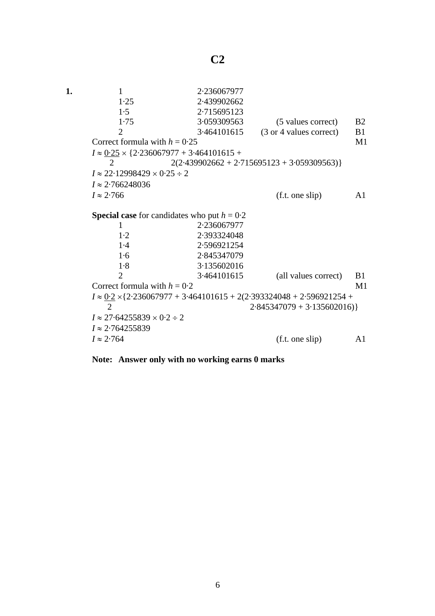| 1. | 1                                                                                  | 2.236067977 |                         |                |
|----|------------------------------------------------------------------------------------|-------------|-------------------------|----------------|
|    | 1.25                                                                               | 2.439902662 |                         |                |
|    | 1.5                                                                                | 2.715695123 |                         |                |
|    | 1.75                                                                               | 3.059309563 | (5 values correct)      | <b>B2</b>      |
|    | 2                                                                                  | 3.464101615 | (3 or 4 values correct) | B1             |
|    | Correct formula with $h = 0.25$                                                    |             |                         | M1             |
|    | $I \approx 0.25 \times \{2.236067977 + 3.464101615 +$                              |             |                         |                |
|    | $2(2.439902662 + 2.715695123 + 3.059309563)$<br>2                                  |             |                         |                |
|    | $I \approx 22.12998429 \times 0.25 \div 2$                                         |             |                         |                |
|    | $I \approx 2.766248036$                                                            |             |                         |                |
|    | $I \approx 2.766$                                                                  |             | (f.t. one slip)         | A <sub>1</sub> |
|    | <b>Special case</b> for candidates who put $h = 0.2$<br>2.236067977<br>1           |             |                         |                |
|    | 1·2                                                                                | 2.393324048 |                         |                |
|    | 1.4                                                                                | 2.596921254 |                         |                |
|    | 1·6                                                                                | 2.845347079 |                         |                |
|    | 1.8                                                                                | 3.135602016 |                         |                |
|    | 2                                                                                  | 3.464101615 | (all values correct)    | B1             |
|    | Correct formula with $h = 0.2$                                                     |             |                         | M <sub>1</sub> |
|    | $I \approx 0.2 \times \{2.236067977 + 3.464101615 + 2(2.393324048 + 2.596921254 +$ |             |                         |                |
|    | $\overline{2}$<br>$2.845347079 + 3.135602016$                                      |             |                         |                |
|    | $I \approx 27.64255839 \times 0.2 \div 2$                                          |             |                         |                |
|    | $I \approx 2.764255839$                                                            |             |                         |                |
|    | $I \approx 2.764$                                                                  |             | (f.t. one slip)         | A1             |
|    |                                                                                    |             |                         |                |

**Note: Answer only with no working earns 0 marks**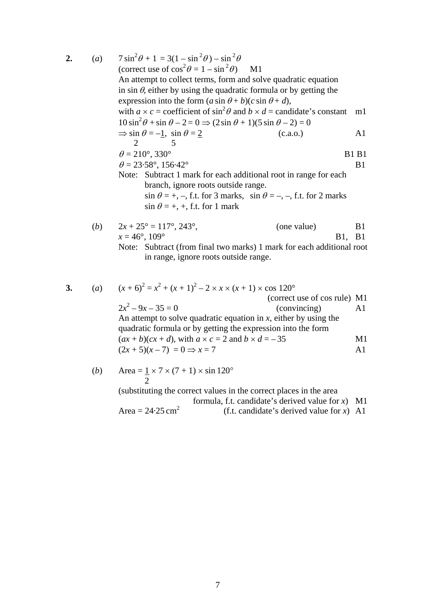2. (a) 
$$
7 \sin^2 \theta + 1 = 3(1 - \sin^2 \theta) - \sin^2 \theta
$$
  
\n(correct use of  $\cos^2 \theta = 1 - \sin^2 \theta$ ) M1  
\nAn attempt to collect terms, form and solve quadratic equation  
\nin  $\sin \theta$ , either by using the quadratic formula or by getting the  
\nexpression into the form  $(a \sin \theta + b)(c \sin \theta + d)$ ,  
\nwith  $a \times c$  = coefficient of  $\sin^2 \theta$  and  $b \times d$  = candidate's constant m1  
\n $10 \sin^2 \theta + \sin \theta - 2 = 0 \Rightarrow (2 \sin \theta + 1)(5 \sin \theta - 2) = 0$   
\n $\Rightarrow \sin \theta = -1$ ,  $\sin \theta = 2$   
\n(C.a.o.) A1  
\n2. 5  
\n $\theta = 210^\circ, 330^\circ$  B1 B1  
\n $\theta = 23.58^\circ, 156.42^\circ$  B1  
\nNote: Subtract 1 mark for each additional root in range for each  
\nbranch, ignore roots outside range.  
\n $\sin \theta = +, -, f.t.$  for 3 marks,  $\sin \theta = -, -, f.t.$  for 2 marks  
\n $\sin \theta = +, +, f.t.$  for 1 mark  
\n(b)  $2x + 25^\circ = 117^\circ, 243^\circ$ , (one value) B1  
\n $x = 46^\circ, 109^\circ$  B1, B1  
\n $x = 46^\circ, 109^\circ$  B21, B31  
\nNote: Subtract (from final two marks) 1 mark for each additional root  
\nin range, ignore roots outside range.  
\n3. (a)  $(x + 6)^2 = x^2 + (x + 1)^2 - 2 \times x \times (x + 1) \times \cos 120^\circ$   
\n(correct use of cos rule) M1  
\n $2x^2 - 9x - 35 = 0$  (convaricing) A1  
\nAn attempt to solve quadratic equation in x, either by using the  
\nquadratic formula or by getting the expression into the form  
\n $(ax + b)(cx + d)$ , with  $a \times c = 2$  and  $b \times d = -35$  M1  
\n $(2x + 5)(x - 7) = 0 \Rightarrow x = 7$  A1

(b) Area = 
$$
\frac{1}{2} \times 7 \times (7 + 1) \times \sin 120^{\circ}
$$

(substituting the correct values in the correct places in the area

formula, f.t. candidate's derived value for *x*) M1

Area = 
$$
24.25 \text{ cm}^2
$$
 (f.t. candidate's derived value for x) A1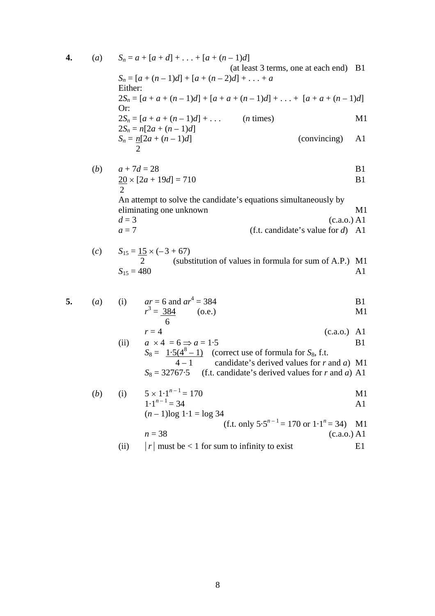4. (a) 
$$
S_n = a + [a + d] + ... + [a + (n - 1)d]
$$
  
\n(a) (at least 3 terms, one at each end) B1  
\n $S_n = [a + (n - 1)d] + [a + (n - 2)d] + ... + a$   
\nEither:  
\n $2S_n = [a + a + (n - 1)d] + [a + a + (n - 1)d] + ... + [a + a + (n - 1)d]$   
\nOr:  
\n $2S_n = [a + a + (n - 1)d] + ...$   
\n $2S_n = n[2a + (n - 1)d]$   
\n $S_n = \frac{n[2a + (n - 1)d]}{2}$   
\n(convincing) A1

(b) 
$$
a + 7d = 28
$$
  
\n $\frac{20}{2} \times [2a + 19d] = 710$   
\nB1  
\nB1

An attempt to solve the candidate's equations simultaneously by eliminating one unknown M1  $d = 3$  (c.a.o.) A1<br>  $a = 7$  (f.t. candidate's value for d) A1  $(f.t. candidate's value for d)$  A1

(c) 
$$
S_{15} = 15 \times (-3 + 67)
$$
  
\n $\begin{array}{c} 2 \\ S_{15} = 480 \end{array}$  (substitution of values in formula for sum of A.P.) M1  
\n $S_{15} = 480$  A1

5. (a) (i) 
$$
ar = 6
$$
 and  $ar^4 = 384$   
\t $r^3 = \frac{384}{6}$  (o.e.)  
\t**B1**  
\tM1

$$
r = 4
$$
\n(ii)  $a \times 4 = 6 \Rightarrow a = 1.5$  (c.a.o.) A1  
\nB1

$$
S_8 = \frac{1.5(4^8 - 1)}{4 - 1}
$$
 (correct use of formula for S<sub>8</sub>, f.t.  
4 - 1 candidate's derived values for r and a) M1  

$$
S_8 = 32767.5
$$
 (f.t. candidate's derived values for r and a) A1

(b) (i) 
$$
5 \times 1 \cdot 1^{n-1} = 170
$$
 M1

$$
1 \cdot 1^{n-1} = 34
$$
 A1  
(*n* - 1)log 1 \cdot 1 = log 34  
(f.t. only 5.5<sup>n-1</sup> = 170 or 1 \cdot 1<sup>n</sup> = 34) M1

$$
n = 38
$$
 (c.a.o.) A1

(ii) 
$$
|r|
$$
 must be < 1 for sum to infinity to exist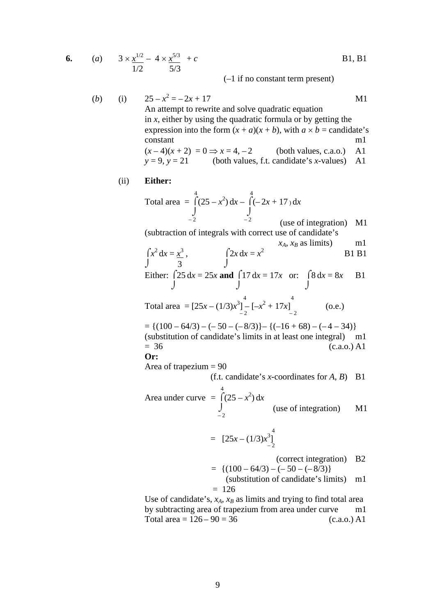6. (a) 
$$
3 \times \frac{x^{1/2}}{1/2} - 4 \times \frac{x^{5/3}}{5/3} + c
$$
 B1, B1

(–1 if no constant term present)

(b) (i) 
$$
25 - x^2 = -2x + 17
$$
  
\nAn attempt to rewrite and solve quadratic equation  
\nin x, either by using the quadratic formula or by getting the  
\nexpression into the form  $(x + a)(x + b)$ , with  $a \times b$  = candidate's  
\nconstant  
\n $(x-4)(x+2) = 0 \Rightarrow x = 4, -2$  (both values, c.a.o.) A1  
\n $y = 9, y = 21$  (both values, f.t. candidate's x-values) A1

## (ii) **Either:**

 4 4 Total area =  $\int (25 - x^2) dx - \int (-2x + 17) dx$  $\int$  $-2$   $-2$  (use of integration) M1

(subtraction of integrals with correct use of candidate's

$$
\int x^2 dx = \frac{x^3}{3}, \qquad \int 2x dx = x^2
$$
 B1 B1  
Bithero (25 d). 250 and 017 d. 17d. cm. (2 d). B1

Either: 
$$
\int 25 dx = 25x
$$
 and  $\int 17 dx = 17x$  or:  $\int 8 dx = 8x$  B1

 4 4 Total area =  $[25x - (1/3)x^3] - [-x^2 + 17x]$ <sub>-2</sub> (o.e.)

$$
= \{(100 - 64/3) - (-50 - (-8/3)\} - \{(-16 + 68) - (-4 - 34)\}\
$$
  
(substitution of candidate's limits in at least one integral) m1  
= 36 (c.a.o.) A1  
Or:

Area of trapezium = 90

(f.t. candidate's *x*-coordinates for *A*, *B*) B1

Area under curve 
$$
=\int_{-2}^{4} (25 - x^2) dx
$$
 (use of integration) M1

$$
= [25x - (1/3)x_{-2}^{3}]
$$

(correct integration) B2

$$
= \{ (100 - 64/3) - (-50 - (-8/3) \}
$$
  
(substitution of candidate's limits) m1  
= 126

Use of candidate's,  $x_A$ ,  $x_B$  as limits and trying to find total area by subtracting area of trapezium from area under curve m1 Total area =  $126 - 90 = 36$  (c.a.o.) A1

9